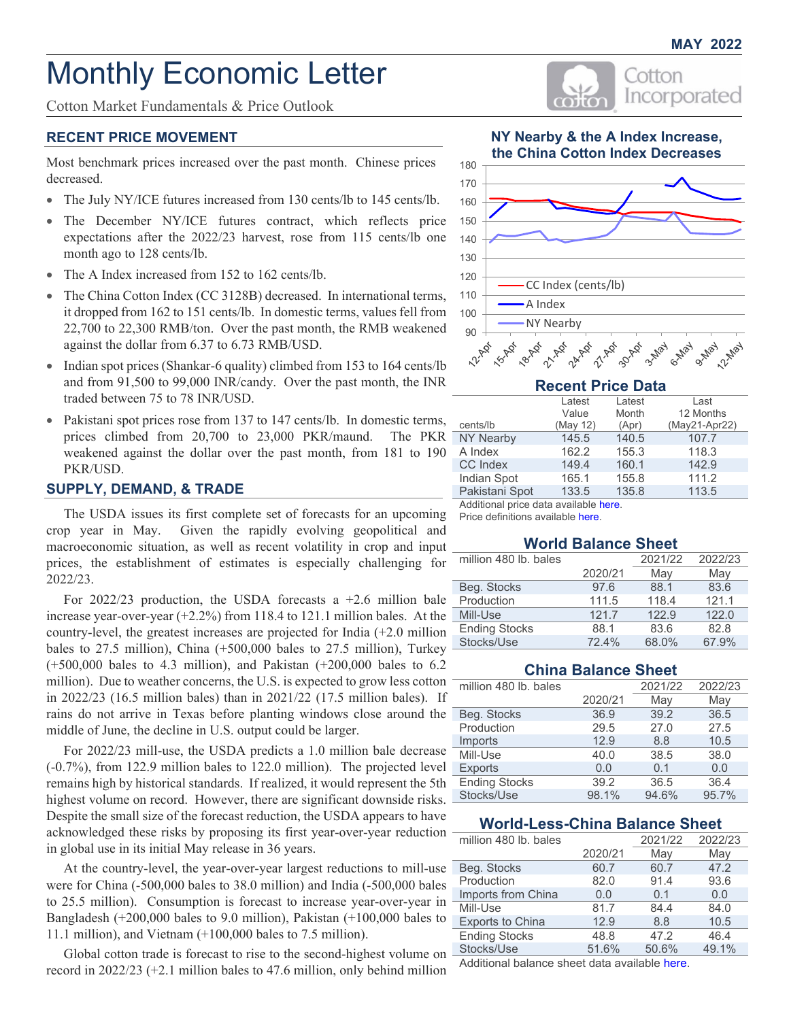Cotton

Incorporated

# Monthly Economic Letter

Cotton Market Fundamentals & Price Outlook

# **RECENT PRICE MOVEMENT**

Most benchmark prices increased over the past month. Chinese prices decreased.

- The July NY/ICE futures increased from 130 cents/lb to 145 cents/lb.
- The December NY/ICE futures contract, which reflects price expectations after the 2022/23 harvest, rose from 115 cents/lb one month ago to 128 cents/lb.
- The A Index increased from 152 to 162 cents/lb.
- The China Cotton Index (CC 3128B) decreased. In international terms, it dropped from 162 to 151 cents/lb. In domestic terms, values fell from 22,700 to 22,300 RMB/ton. Over the past month, the RMB weakened against the dollar from 6.37 to 6.73 RMB/USD.
- Indian spot prices (Shankar-6 quality) climbed from 153 to 164 cents/lb and from 91,500 to 99,000 INR/candy. Over the past month, the INR traded between 75 to 78 INR/USD.
- Pakistani spot prices rose from 137 to 147 cents/lb. In domestic terms, prices climbed from 20,700 to 23,000 PKR/maund. The PKR weakened against the dollar over the past month, from 181 to 190 PKR/USD.

# **SUPPLY, DEMAND, & TRADE**

The USDA issues its first complete set of forecasts for an upcoming crop year in May. Given the rapidly evolving geopolitical and macroeconomic situation, as well as recent volatility in crop and input prices, the establishment of estimates is especially challenging for 2022/23.

For  $2022/23$  production, the USDA forecasts a  $+2.6$  million bale increase year-over-year (+2.2%) from 118.4 to 121.1 million bales. At the country-level, the greatest increases are projected for India (+2.0 million bales to 27.5 million), China (+500,000 bales to 27.5 million), Turkey (+500,000 bales to 4.3 million), and Pakistan (+200,000 bales to 6.2 million). Due to weather concerns, the U.S. is expected to grow less cotton in 2022/23 (16.5 million bales) than in 2021/22 (17.5 million bales). If rains do not arrive in Texas before planting windows close around the middle of June, the decline in U.S. output could be larger.

For 2022/23 mill-use, the USDA predicts a 1.0 million bale decrease (-0.7%), from 122.9 million bales to 122.0 million). The projected level remains high by historical standards. If realized, it would represent the 5th highest volume on record. However, there are significant downside risks. Despite the small size of the forecast reduction, the USDA appears to have acknowledged these risks by proposing its first year-over-year reduction in global use in its initial May release in 36 years.

At the country-level, the year-over-year largest reductions to mill-use were for China (-500,000 bales to 38.0 million) and India (-500,000 bales to 25.5 million). Consumption is forecast to increase year-over-year in Bangladesh (+200,000 bales to 9.0 million), Pakistan (+100,000 bales to 11.1 million), and Vietnam (+100,000 bales to 7.5 million).

Global cotton trade is forecast to rise to the second-highest volume on record in 2022/23 (+2.1 million bales to 47.6 million, only behind million





| <b>Recent Price Data</b> |          |        |               |  |  |  |
|--------------------------|----------|--------|---------------|--|--|--|
|                          | Latest   | Latest | Last          |  |  |  |
|                          | Value    | Month  | 12 Months     |  |  |  |
| cents/lb                 | (May 12) | (Apr)  | (May21-Apr22) |  |  |  |
| <b>NY Nearby</b>         | 145.5    | 140.5  | 107.7         |  |  |  |
| A Index                  | 162.2    | 155.3  | 118.3         |  |  |  |
| CC Index                 | 149.4    | 160.1  | 142.9         |  |  |  |
| Indian Spot              | 165.1    | 155.8  | 111.2         |  |  |  |
| Pakistani Spot           | 133.5    | 135.8  | 113.5         |  |  |  |

Additional price data [available here.](#page-2-0)

Price definitions [available here.](https://www.cottoninc.com/market-data/monthly-economic-newsletter/cotton-price-definitions/)

#### **World Balance Sheet**

| million 480 lb. bales |         | 2021/22 | 2022/23 |
|-----------------------|---------|---------|---------|
|                       | 2020/21 | May     | May     |
| Beg. Stocks           | 97.6    | 88.1    | 83.6    |
| Production            | 111.5   | 118.4   | 121.1   |
| Mill-Use              | 121.7   | 122.9   | 122.0   |
| <b>Ending Stocks</b>  | 88.1    | 83.6    | 82.8    |
| Stocks/Use            | 72.4%   | 68.0%   | 67.9%   |

# **China Balance Sheet**

| million 480 lb. bales |         | 2021/22 | 2022/23 |
|-----------------------|---------|---------|---------|
|                       | 2020/21 | May     | May     |
| Beg. Stocks           | 36.9    | 39.2    | 36.5    |
| Production            | 29.5    | 27.0    | 27.5    |
| Imports               | 12.9    | 8.8     | 10.5    |
| Mill-Use              | 40.0    | 38.5    | 38.0    |
| <b>Exports</b>        | 0.0     | 0.1     | 0.0     |
| <b>Ending Stocks</b>  | 39.2    | 36.5    | 36.4    |
| Stocks/Use            | 98.1%   | 94.6%   | 95.7%   |

# **World-Less-China Balance Sheet**

| million 480 lb. bales   |         | 2021/22 | 2022/23 |
|-------------------------|---------|---------|---------|
|                         | 2020/21 | May     | May     |
| Beg. Stocks             | 60.7    | 60.7    | 47.2    |
| Production              | 82.0    | 91.4    | 93.6    |
| Imports from China      | 0.0     | 0.1     | 0.0     |
| Mill-Use                | 81.7    | 84.4    | 84.0    |
| <b>Exports to China</b> | 12.9    | 8.8     | 10.5    |
| <b>Ending Stocks</b>    | 48.8    | 47.2    | 46.4    |
| Stocks/Use              | 51.6%   | 50.6%   | 49.1%   |

Additional balance sheet data available here.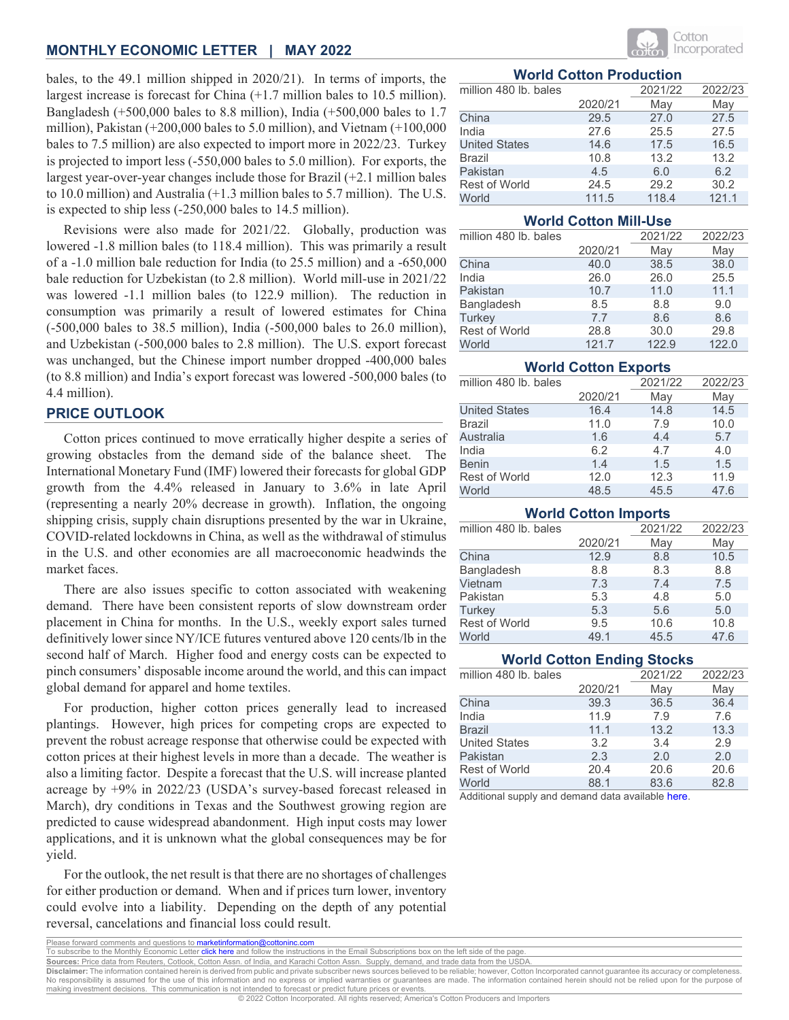bales, to the 49.1 million shipped in 2020/21). In terms of imports, the largest increase is forecast for China (+1.7 million bales to 10.5 million). Bangladesh (+500,000 bales to 8.8 million), India (+500,000 bales to 1.7 million), Pakistan (+200,000 bales to 5.0 million), and Vietnam (+100,000 bales to 7.5 million) are also expected to import more in 2022/23. Turkey is projected to import less (-550,000 bales to 5.0 million). For exports, the largest year-over-year changes include those for Brazil (+2.1 million bales to 10.0 million) and Australia (+1.3 million bales to 5.7 million). The U.S. is expected to ship less (-250,000 bales to 14.5 million).

Revisions were also made for 2021/22. Globally, production was lowered -1.8 million bales (to 118.4 million). This was primarily a result of a -1.0 million bale reduction for India (to 25.5 million) and a -650,000 bale reduction for Uzbekistan (to 2.8 million). World mill-use in 2021/22 was lowered -1.1 million bales (to 122.9 million). The reduction in consumption was primarily a result of lowered estimates for China (-500,000 bales to 38.5 million), India (-500,000 bales to 26.0 million), and Uzbekistan (-500,000 bales to 2.8 million). The U.S. export forecast was unchanged, but the Chinese import number dropped -400,000 bales (to 8.8 million) and India's export forecast was lowered -500,000 bales (to 4.4 million).

# **PRICE OUTLOOK**

Cotton prices continued to move erratically higher despite a series of growing obstacles from the demand side of the balance sheet. The International Monetary Fund (IMF) lowered their forecasts for global GDP growth from the 4.4% released in January to 3.6% in late April (representing a nearly 20% decrease in growth). Inflation, the ongoing shipping crisis, supply chain disruptions presented by the war in Ukraine, COVID-related lockdowns in China, as well as the withdrawal of stimulus in the U.S. and other economies are all macroeconomic headwinds the market faces.

There are also issues specific to cotton associated with weakening demand. There have been consistent reports of slow downstream order placement in China for months. In the U.S., weekly export sales turned definitively lower since NY/ICE futures ventured above 120 cents/lb in the second half of March. Higher food and energy costs can be expected to pinch consumers' disposable income around the world, and this can impact global demand for apparel and home textiles.

For production, higher cotton prices generally lead to increased plantings. However, high prices for competing crops are expected to prevent the robust acreage response that otherwise could be expected with cotton prices at their highest levels in more than a decade. The weather is also a limiting factor. Despite a forecast that the U.S. will increase planted acreage by +9% in 2022/23 (USDA's survey-based forecast released in March), dry conditions in Texas and the Southwest growing region are predicted to cause widespread abandonment. High input costs may lower applications, and it is unknown what the global consequences may be for yield.

For the outlook, the net result is that there are no shortages of challenges for either production or demand. When and if prices turn lower, inventory could evolve into a liability. Depending on the depth of any potential reversal, cancelations and financial loss could result.



# **World Cotton Production**

| million 480 lb. bales |         | 2021/22 | 2022/23 |
|-----------------------|---------|---------|---------|
|                       | 2020/21 | May     | May     |
| China                 | 29.5    | 27.0    | 27.5    |
| India                 | 27.6    | 25.5    | 27.5    |
| <b>United States</b>  | 14.6    | 17.5    | 16.5    |
| Brazil                | 10.8    | 13.2    | 13.2    |
| Pakistan              | 4.5     | 6.0     | 6.2     |
| <b>Rest of World</b>  | 24.5    | 29.2    | 30.2    |
| World                 | 111.5   | 118.4   | 121.1   |

#### **World Cotton Mill-Use**

| million 480 lb. bales |         | 2021/22 | 2022/23 |
|-----------------------|---------|---------|---------|
|                       | 2020/21 | May     | May     |
| China                 | 40.0    | 38.5    | 38.0    |
| India                 | 26.0    | 26.0    | 25.5    |
| Pakistan              | 10.7    | 11.0    | 11.1    |
| <b>Bangladesh</b>     | 8.5     | 8.8     | 9.0     |
| Turkey                | 7.7     | 8.6     | 8.6     |
| <b>Rest of World</b>  | 28.8    | 30.0    | 29.8    |
| World                 | 121.7   | 122.9   | 122.0   |

#### **World Cotton Exports**

| million 480 lb. bales |         | 2021/22 | 2022/23 |
|-----------------------|---------|---------|---------|
|                       | 2020/21 | May     | May     |
| <b>United States</b>  | 16.4    | 14.8    | 14.5    |
| Brazil                | 11.0    | 7.9     | 10.0    |
| Australia             | 1.6     | 4.4     | 5.7     |
| India                 | 6.2     | 4.7     | 4.0     |
| <b>Benin</b>          | 1.4     | 1.5     | 1.5     |
| <b>Rest of World</b>  | 12.0    | 12.3    | 11.9    |
| World                 | 48.5    | 45.5    | 47.6    |

#### **World Cotton Imports**

| million 480 lb. bales |         | 2021/22 | 2022/23 |
|-----------------------|---------|---------|---------|
|                       | 2020/21 | May     | May     |
| China                 | 12.9    | 8.8     | 10.5    |
| Bangladesh            | 8.8     | 8.3     | 8.8     |
| Vietnam               | 7.3     | 7.4     | 7.5     |
| Pakistan              | 5.3     | 4.8     | 5.0     |
| <b>Turkey</b>         | 5.3     | 5.6     | 5.0     |
| Rest of World         | 9.5     | 10.6    | 10.8    |
| World                 | 49.1    | 45.5    | 47.6    |

# **World Cotton Ending Stocks**

| million 480 lb. bales |         | 2021/22 | 2022/23 |
|-----------------------|---------|---------|---------|
|                       | 2020/21 | May     | May     |
| China                 | 39.3    | 36.5    | 36.4    |
| India                 | 11.9    | 7.9     | 7.6     |
| <b>Brazil</b>         | 11.1    | 13.2    | 13.3    |
| <b>United States</b>  | 3.2     | 3.4     | 2.9     |
| Pakistan              | 2.3     | 2.0     | 2.0     |
| <b>Rest of World</b>  | 20.4    | 20.6    | 20.6    |
| World                 | 88.1    | 83.6    | 82.8    |

Additional supply and demand data [available here.](#page-8-0)

Please forward comments and questions to <mark>marketinformation@cottoninc.com</mark><br>To subscribe to the Monthly Econo<u>mic Letter</u> <mark>click here</mark> and follow the instructi to the Monthly Economic Letter [click here](https://www.cottoninc.com/market-data/monthly-economic-newsletter/) and follow the instructions in the Email Subscriptions box on the left side of the page.

**Sources:** Price data from Reuters, Cotlook, Cotton Assn. of India, and Karachi Cotton Assn. Supply, demand, and trade data from the USDA.

**Disclaimer:** The information contained herein is derived from public and private subscriber news sources believed to be reliable; however, Cotton Incorporated cannot guarantee its accuracy or completeness.<br>No responsibili making investment decisions. This communication is not intended to forecast or predict future prices or events.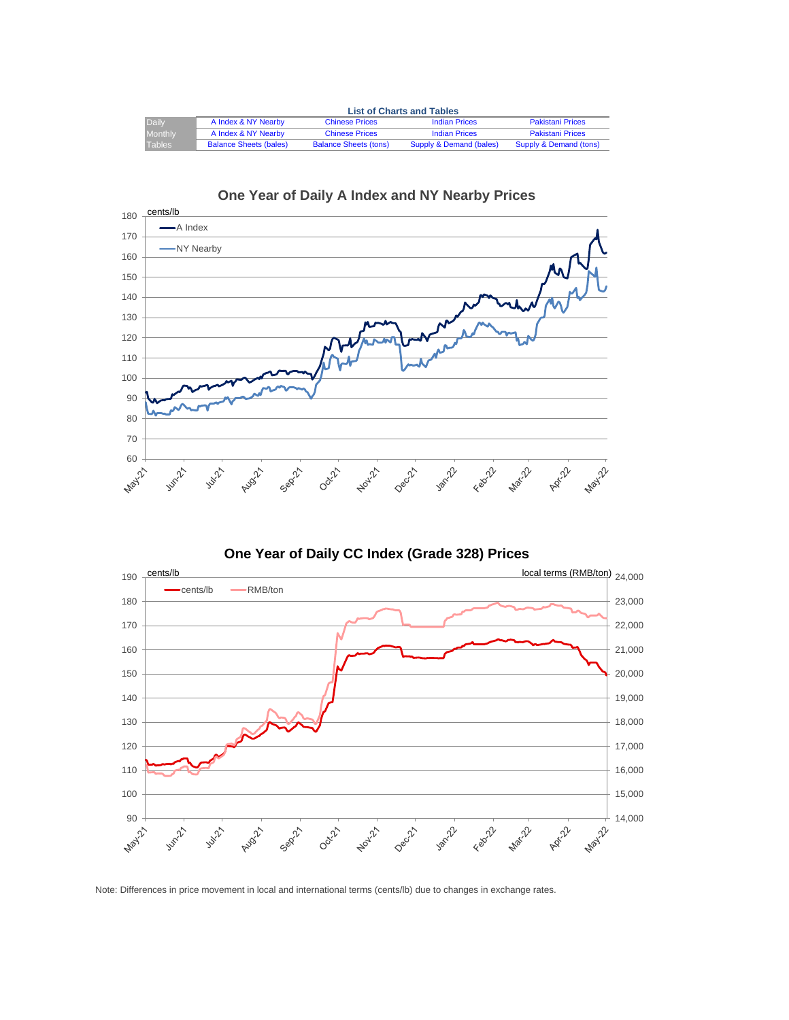<span id="page-2-0"></span>

|                | <b>List of Charts and Tables</b> |                              |                         |                         |  |  |  |
|----------------|----------------------------------|------------------------------|-------------------------|-------------------------|--|--|--|
| Daily          | A Index & NY Nearby              | <b>Chinese Prices</b>        | <b>Indian Prices</b>    | <b>Pakistani Prices</b> |  |  |  |
| <b>Monthly</b> | A Index & NY Nearby              | <b>Chinese Prices</b>        | <b>Indian Prices</b>    | <b>Pakistani Prices</b> |  |  |  |
| Tables         | <b>Balance Sheets (bales)</b>    | <b>Balance Sheets (tons)</b> | Supply & Demand (bales) | Supply & Demand (tons)  |  |  |  |





**One Year of Daily CC Index (Grade 328) Prices**



Note: Differences in price movement in local and international terms (cents/lb) due to changes in exchange rates.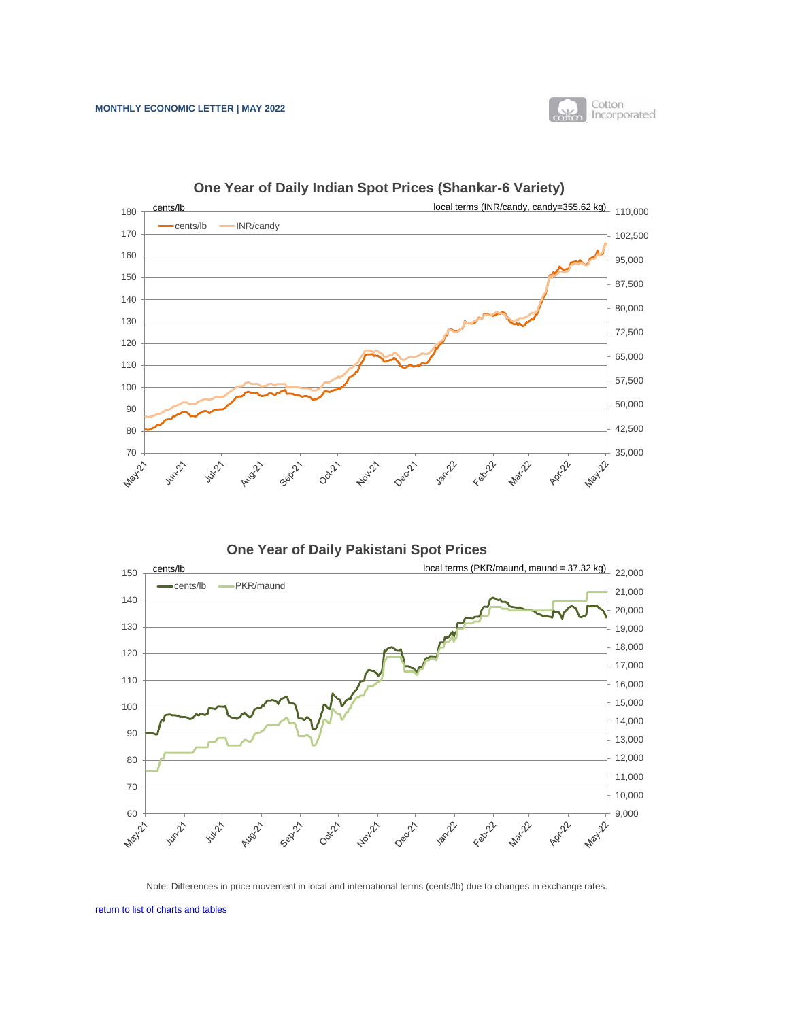

<span id="page-3-0"></span>

**One Year of Daily Indian Spot Prices (Shankar-6 Variety)**

**One Year of Daily Pakistani Spot Prices**



Note: Differences in price movement in local and international terms (cents/lb) due to changes in exchange rates.

[return to list of charts and tables](#page-2-0)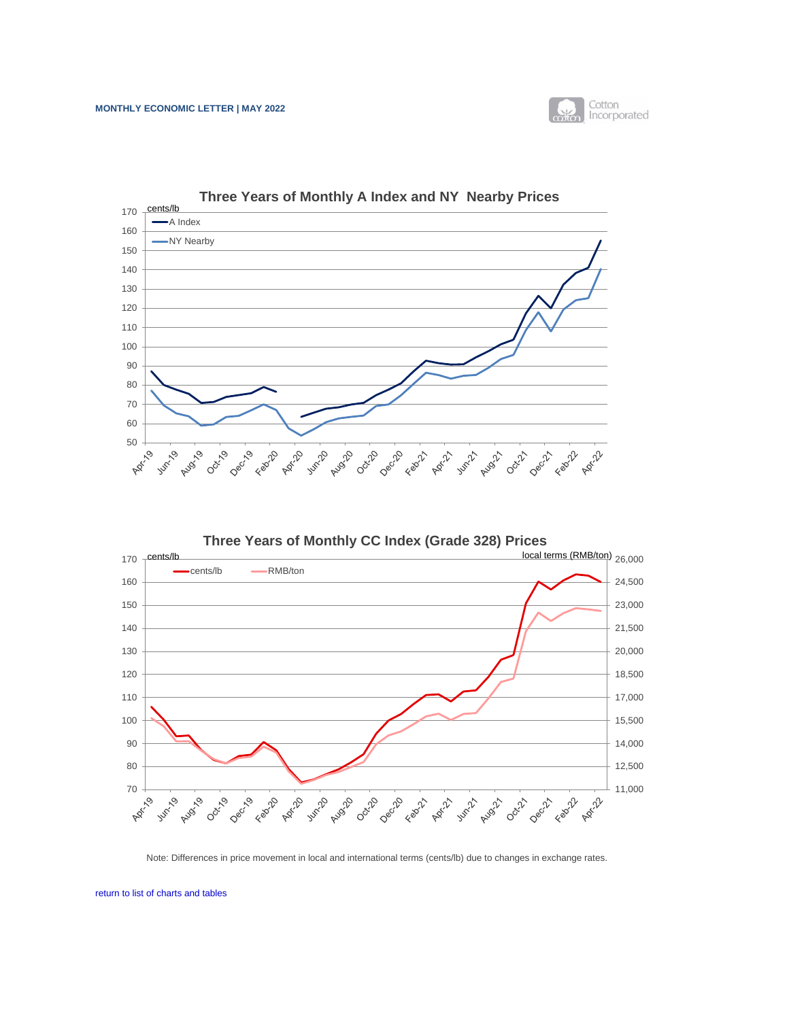

<span id="page-4-0"></span>



Note: Differences in price movement in local and international terms (cents/lb) due to changes in exchange rates.

[return to list of charts and tables](#page-2-0)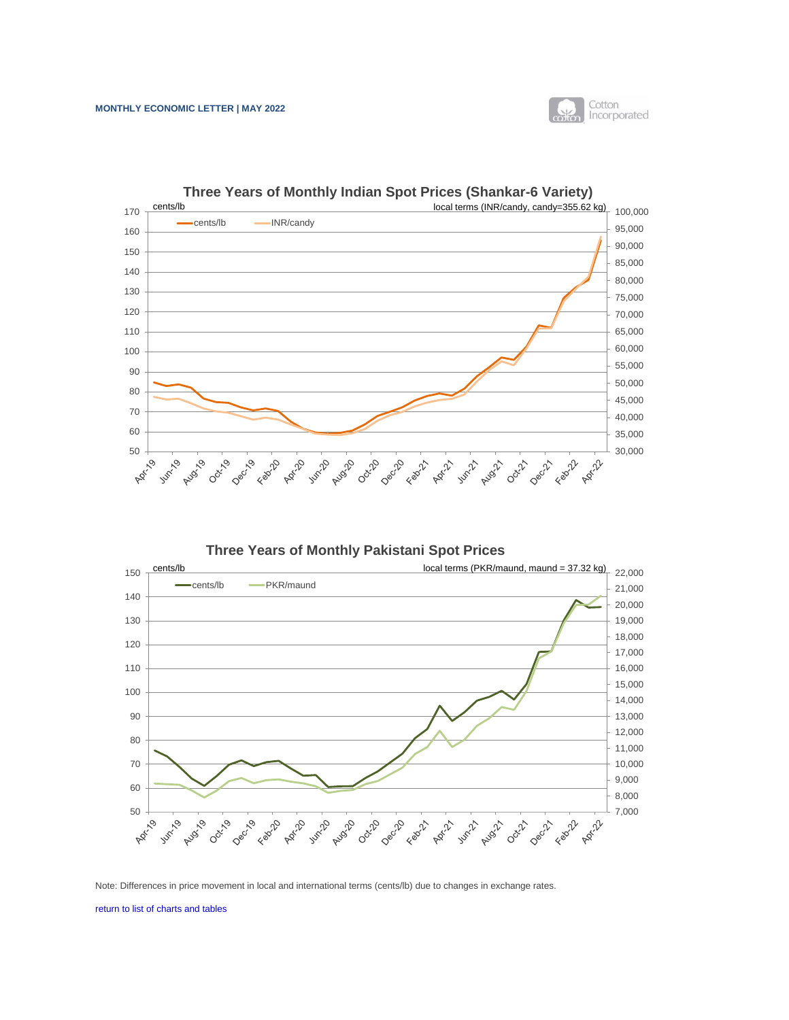

<span id="page-5-0"></span>

**Three Years of Monthly Indian Spot Prices (Shankar-6 Variety)**

**Three Years of Monthly Pakistani Spot Prices**



Note: Differences in price movement in local and international terms (cents/lb) due to changes in exchange rates.

[return to list of charts and tables](#page-2-0)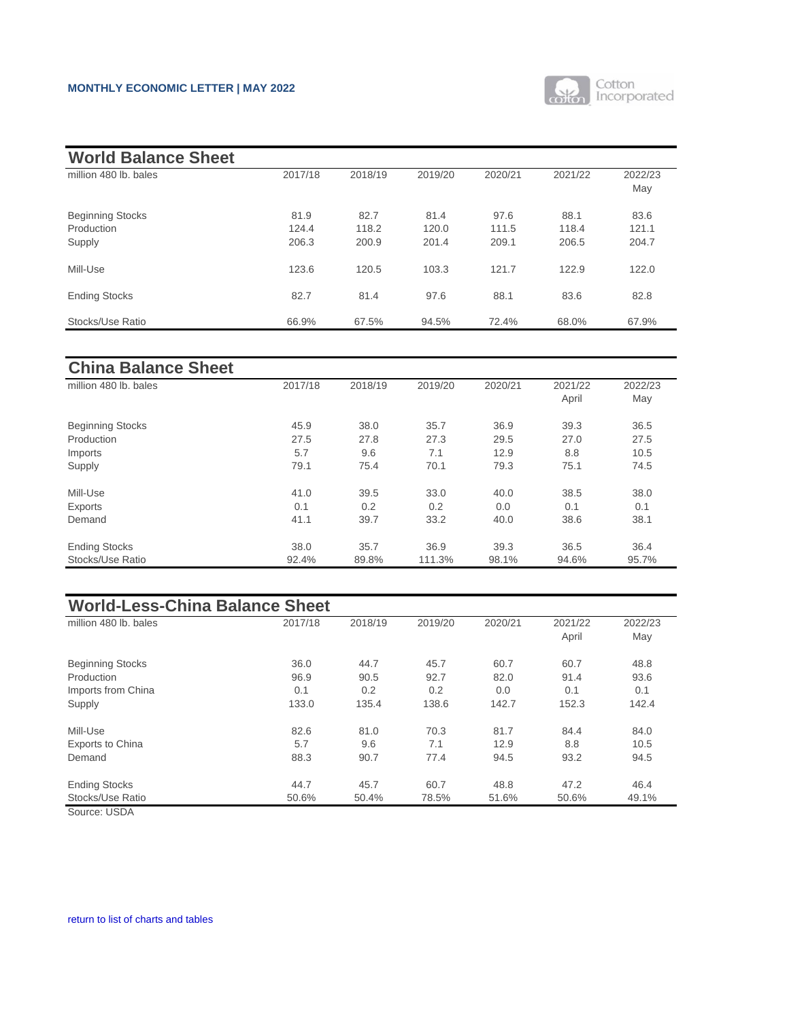

<span id="page-6-0"></span>

| <b>World Balance Sheet</b>            |               |               |               |               |               |                |
|---------------------------------------|---------------|---------------|---------------|---------------|---------------|----------------|
| million 480 lb. bales                 | 2017/18       | 2018/19       | 2019/20       | 2020/21       | 2021/22       | 2022/23<br>May |
| <b>Beginning Stocks</b><br>Production | 81.9<br>124.4 | 82.7<br>118.2 | 81.4<br>120.0 | 97.6<br>111.5 | 88.1<br>118.4 | 83.6<br>121.1  |
| Supply                                | 206.3         | 200.9         | 201.4         | 209.1         | 206.5         | 204.7          |
| Mill-Use                              | 123.6         | 120.5         | 103.3         | 121.7         | 122.9         | 122.0          |
| <b>Ending Stocks</b>                  | 82.7          | 81.4          | 97.6          | 88.1          | 83.6          | 82.8           |
| Stocks/Use Ratio                      | 66.9%         | 67.5%         | 94.5%         | 72.4%         | 68.0%         | 67.9%          |

| <b>China Balance Sheet</b> |         |         |         |         |                  |                |
|----------------------------|---------|---------|---------|---------|------------------|----------------|
| million 480 lb. bales      | 2017/18 | 2018/19 | 2019/20 | 2020/21 | 2021/22<br>April | 2022/23<br>May |
| <b>Beginning Stocks</b>    | 45.9    | 38.0    | 35.7    | 36.9    | 39.3             | 36.5           |
| Production                 | 27.5    | 27.8    | 27.3    | 29.5    | 27.0             | 27.5           |
| Imports                    | 5.7     | 9.6     | 7.1     | 12.9    | 8.8              | 10.5           |
| Supply                     | 79.1    | 75.4    | 70.1    | 79.3    | 75.1             | 74.5           |
| Mill-Use                   | 41.0    | 39.5    | 33.0    | 40.0    | 38.5             | 38.0           |
| Exports                    | 0.1     | 0.2     | 0.2     | 0.0     | 0.1              | 0.1            |
| Demand                     | 41.1    | 39.7    | 33.2    | 40.0    | 38.6             | 38.1           |
| <b>Ending Stocks</b>       | 38.0    | 35.7    | 36.9    | 39.3    | 36.5             | 36.4           |
| Stocks/Use Ratio           | 92.4%   | 89.8%   | 111.3%  | 98.1%   | 94.6%            | 95.7%          |

| <b>World-Less-China Balance Sheet</b> |         |         |         |         |         |         |  |  |
|---------------------------------------|---------|---------|---------|---------|---------|---------|--|--|
| million 480 lb. bales                 | 2017/18 | 2018/19 | 2019/20 | 2020/21 | 2021/22 | 2022/23 |  |  |
|                                       |         |         |         |         | April   | May     |  |  |
| <b>Beginning Stocks</b>               | 36.0    | 44.7    | 45.7    | 60.7    | 60.7    | 48.8    |  |  |
| Production                            | 96.9    | 90.5    | 92.7    | 82.0    | 91.4    | 93.6    |  |  |
| Imports from China                    | 0.1     | 0.2     | 0.2     | 0.0     | 0.1     | 0.1     |  |  |
| Supply                                | 133.0   | 135.4   | 138.6   | 142.7   | 152.3   | 142.4   |  |  |
| Mill-Use                              | 82.6    | 81.0    | 70.3    | 81.7    | 84.4    | 84.0    |  |  |
| <b>Exports to China</b>               | 5.7     | 9.6     | 7.1     | 12.9    | 8.8     | 10.5    |  |  |
| Demand                                | 88.3    | 90.7    | 77.4    | 94.5    | 93.2    | 94.5    |  |  |
| <b>Ending Stocks</b>                  | 44.7    | 45.7    | 60.7    | 48.8    | 47.2    | 46.4    |  |  |
| Stocks/Use Ratio                      | 50.6%   | 50.4%   | 78.5%   | 51.6%   | 50.6%   | 49.1%   |  |  |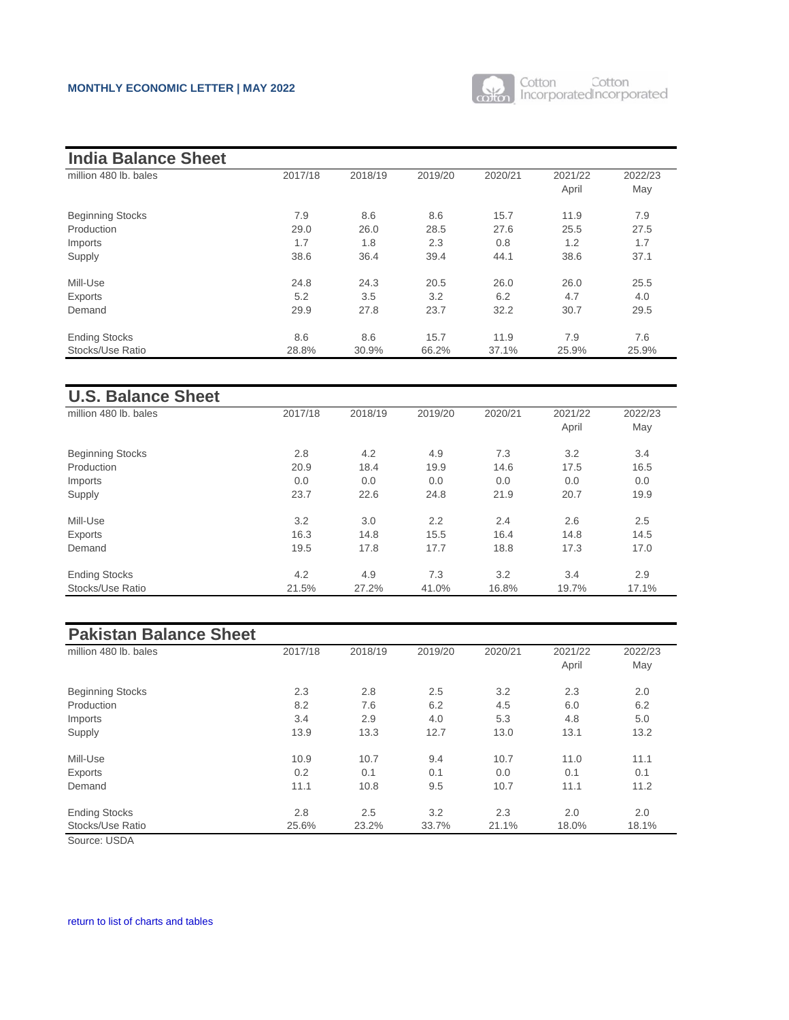

| <b>India Balance Sheet</b> |         |         |         |         |         |         |
|----------------------------|---------|---------|---------|---------|---------|---------|
| million 480 lb. bales      | 2017/18 | 2018/19 | 2019/20 | 2020/21 | 2021/22 | 2022/23 |
|                            |         |         |         |         | April   | May     |
| <b>Beginning Stocks</b>    | 7.9     | 8.6     | 8.6     | 15.7    | 11.9    | 7.9     |
| Production                 | 29.0    | 26.0    | 28.5    | 27.6    | 25.5    | 27.5    |
| Imports                    | 1.7     | 1.8     | 2.3     | 0.8     | 1.2     | 1.7     |
| Supply                     | 38.6    | 36.4    | 39.4    | 44.1    | 38.6    | 37.1    |
| Mill-Use                   | 24.8    | 24.3    | 20.5    | 26.0    | 26.0    | 25.5    |
| Exports                    | 5.2     | 3.5     | 3.2     | 6.2     | 4.7     | 4.0     |
| Demand                     | 29.9    | 27.8    | 23.7    | 32.2    | 30.7    | 29.5    |
| <b>Ending Stocks</b>       | 8.6     | 8.6     | 15.7    | 11.9    | 7.9     | 7.6     |
| Stocks/Use Ratio           | 28.8%   | 30.9%   | 66.2%   | 37.1%   | 25.9%   | 25.9%   |

| <b>U.S. Balance Sheet</b> |         |         |         |         |         |         |
|---------------------------|---------|---------|---------|---------|---------|---------|
| million 480 lb. bales     | 2017/18 | 2018/19 | 2019/20 | 2020/21 | 2021/22 | 2022/23 |
|                           |         |         |         |         | April   | May     |
| <b>Beginning Stocks</b>   | 2.8     | 4.2     | 4.9     | 7.3     | 3.2     | 3.4     |
| Production                | 20.9    | 18.4    | 19.9    | 14.6    | 17.5    | 16.5    |
| Imports                   | 0.0     | 0.0     | 0.0     | 0.0     | 0.0     | 0.0     |
| Supply                    | 23.7    | 22.6    | 24.8    | 21.9    | 20.7    | 19.9    |
| Mill-Use                  | 3.2     | 3.0     | 2.2     | 2.4     | 2.6     | 2.5     |
| Exports                   | 16.3    | 14.8    | 15.5    | 16.4    | 14.8    | 14.5    |
| Demand                    | 19.5    | 17.8    | 17.7    | 18.8    | 17.3    | 17.0    |
| <b>Ending Stocks</b>      | 4.2     | 4.9     | 7.3     | 3.2     | 3.4     | 2.9     |
| Stocks/Use Ratio          | 21.5%   | 27.2%   | 41.0%   | 16.8%   | 19.7%   | 17.1%   |

| 2017/18 | 2018/19 | 2019/20 | 2020/21 | 2021/22 | 2022/23 |
|---------|---------|---------|---------|---------|---------|
|         |         |         |         |         | May     |
| 2.3     | 2.8     | 2.5     | 3.2     | 2.3     | 2.0     |
| 8.2     | 7.6     | 6.2     | 4.5     | 6.0     | 6.2     |
| 3.4     | 2.9     | 4.0     | 5.3     | 4.8     | 5.0     |
| 13.9    | 13.3    | 12.7    | 13.0    | 13.1    | 13.2    |
| 10.9    | 10.7    | 9.4     | 10.7    | 11.0    | 11.1    |
| 0.2     | 0.1     | 0.1     | 0.0     | 0.1     | 0.1     |
| 11.1    | 10.8    | 9.5     | 10.7    | 11.1    | 11.2    |
| 2.8     | 2.5     | 3.2     | 2.3     | 2.0     | 2.0     |
| 25.6%   | 23.2%   | 33.7%   | 21.1%   | 18.0%   | 18.1%   |
|         |         |         |         |         | April   |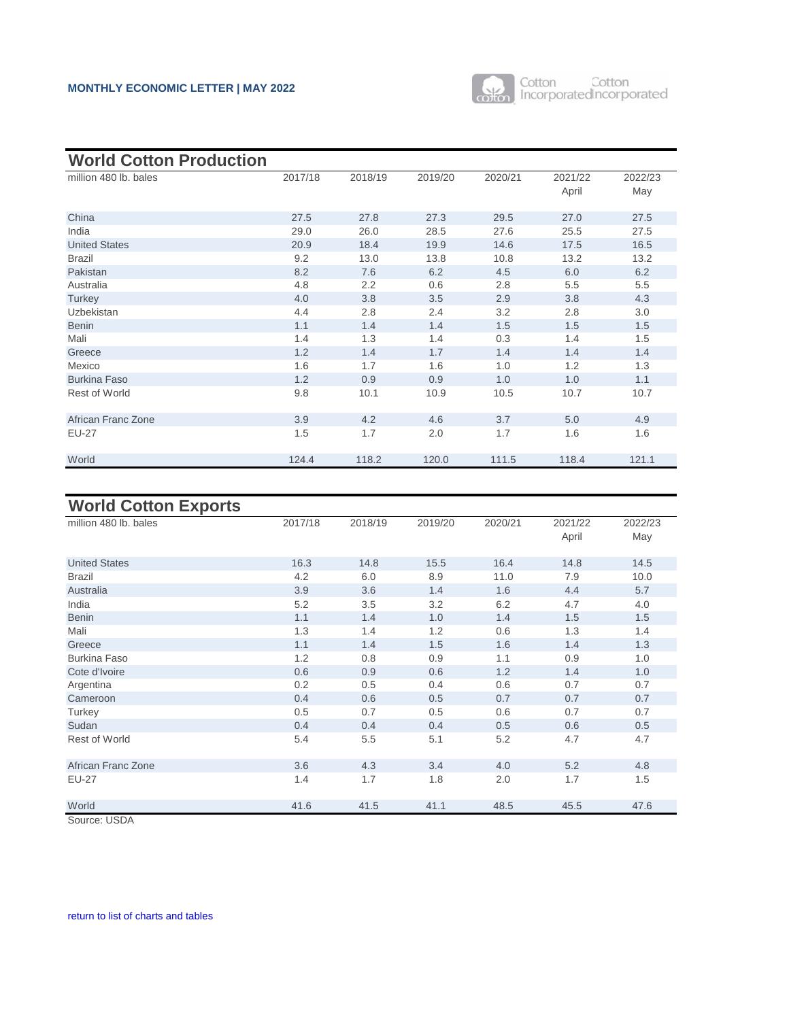

<span id="page-8-0"></span>

| <b>World Cotton Production</b> |         |         |         |         |                  |                |  |
|--------------------------------|---------|---------|---------|---------|------------------|----------------|--|
| million 480 lb. bales          | 2017/18 | 2018/19 | 2019/20 | 2020/21 | 2021/22<br>April | 2022/23<br>May |  |
| China                          | 27.5    | 27.8    | 27.3    | 29.5    | 27.0             | 27.5           |  |
| India                          | 29.0    | 26.0    | 28.5    | 27.6    | 25.5             | 27.5           |  |
| <b>United States</b>           | 20.9    | 18.4    | 19.9    | 14.6    | 17.5             | 16.5           |  |
| <b>Brazil</b>                  | 9.2     | 13.0    | 13.8    | 10.8    | 13.2             | 13.2           |  |
| Pakistan                       | 8.2     | 7.6     | 6.2     | 4.5     | 6.0              | 6.2            |  |
| Australia                      | 4.8     | 2.2     | 0.6     | 2.8     | 5.5              | 5.5            |  |
| Turkey                         | 4.0     | 3.8     | 3.5     | 2.9     | 3.8              | 4.3            |  |
| <b>Uzbekistan</b>              | 4.4     | 2.8     | 2.4     | 3.2     | 2.8              | 3.0            |  |
| <b>Benin</b>                   | 1.1     | 1.4     | 1.4     | 1.5     | 1.5              | 1.5            |  |
| Mali                           | 1.4     | 1.3     | 1.4     | 0.3     | 1.4              | 1.5            |  |
| Greece                         | 1.2     | 1.4     | 1.7     | 1.4     | 1.4              | 1.4            |  |
| Mexico                         | 1.6     | 1.7     | 1.6     | 1.0     | 1.2              | 1.3            |  |
| <b>Burkina Faso</b>            | 1.2     | 0.9     | 0.9     | 1.0     | 1.0              | 1.1            |  |
| <b>Rest of World</b>           | 9.8     | 10.1    | 10.9    | 10.5    | 10.7             | 10.7           |  |
| African Franc Zone             | 3.9     | 4.2     | 4.6     | 3.7     | 5.0              | 4.9            |  |
| <b>EU-27</b>                   | 1.5     | 1.7     | 2.0     | 1.7     | 1.6              | 1.6            |  |
| World                          | 124.4   | 118.2   | 120.0   | 111.5   | 118.4            | 121.1          |  |

| <b>World Cotton Exports</b> |         |         |         |         |                  |                |
|-----------------------------|---------|---------|---------|---------|------------------|----------------|
| million 480 lb. bales       | 2017/18 | 2018/19 | 2019/20 | 2020/21 | 2021/22<br>April | 2022/23<br>May |
| <b>United States</b>        | 16.3    | 14.8    | 15.5    | 16.4    | 14.8             | 14.5           |
| <b>Brazil</b>               | 4.2     | 6.0     | 8.9     | 11.0    | 7.9              | 10.0           |
| Australia                   | 3.9     | 3.6     | 1.4     | 1.6     | 4.4              | 5.7            |
| India                       | 5.2     | 3.5     | 3.2     | 6.2     | 4.7              | 4.0            |
| <b>Benin</b>                | 1.1     | 1.4     | 1.0     | 1.4     | 1.5              | 1.5            |
| Mali                        | 1.3     | 1.4     | 1.2     | 0.6     | 1.3              | 1.4            |
| Greece                      | 1.1     | 1.4     | 1.5     | 1.6     | 1.4              | 1.3            |
| <b>Burkina Faso</b>         | 1.2     | 0.8     | 0.9     | 1.1     | 0.9              | 1.0            |
| Cote d'Ivoire               | 0.6     | 0.9     | 0.6     | 1.2     | 1.4              | 1.0            |
| Argentina                   | 0.2     | 0.5     | 0.4     | 0.6     | 0.7              | 0.7            |
| Cameroon                    | 0.4     | 0.6     | 0.5     | 0.7     | 0.7              | 0.7            |
| Turkey                      | 0.5     | 0.7     | 0.5     | 0.6     | 0.7              | 0.7            |
| Sudan                       | 0.4     | 0.4     | 0.4     | 0.5     | 0.6              | 0.5            |
| <b>Rest of World</b>        | 5.4     | 5.5     | 5.1     | 5.2     | 4.7              | 4.7            |
| African Franc Zone          | 3.6     | 4.3     | 3.4     | 4.0     | 5.2              | 4.8            |
| <b>EU-27</b>                | 1.4     | 1.7     | 1.8     | 2.0     | 1.7              | 1.5            |
| World                       | 41.6    | 41.5    | 41.1    | 48.5    | 45.5             | 47.6           |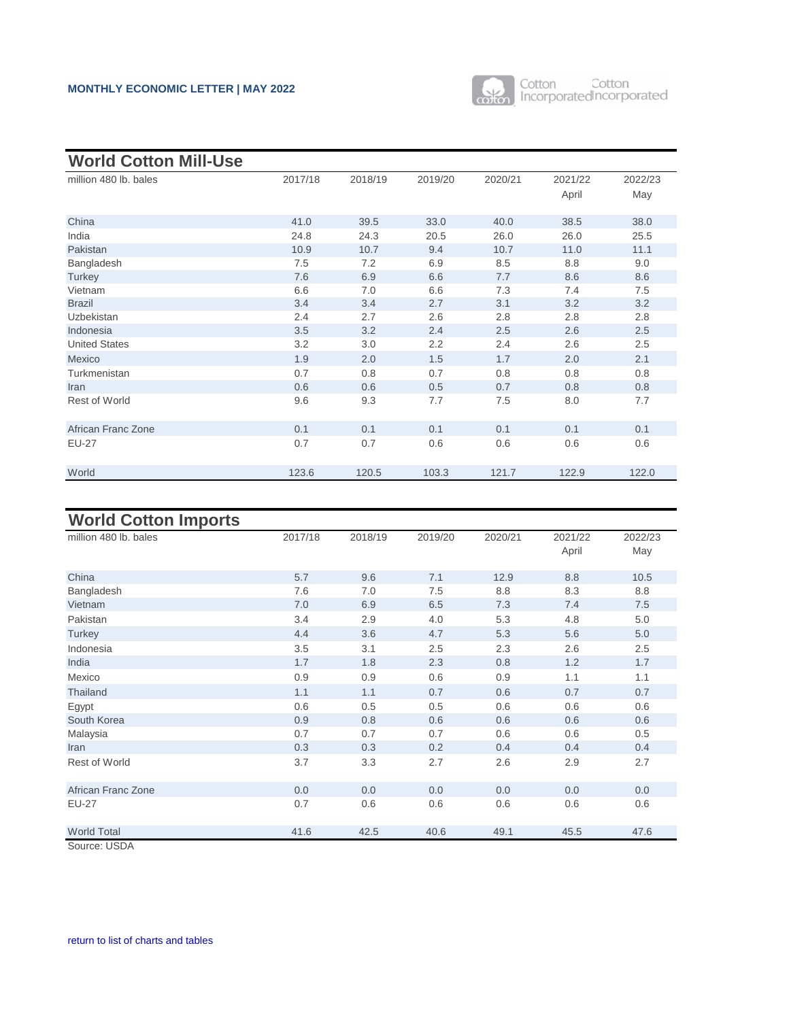

| <b>World Cotton Mill-Use</b> |         |         |         |         |         |         |
|------------------------------|---------|---------|---------|---------|---------|---------|
| million 480 lb. bales        | 2017/18 | 2018/19 | 2019/20 | 2020/21 | 2021/22 | 2022/23 |
|                              |         |         |         |         | April   | May     |
| China                        | 41.0    | 39.5    | 33.0    | 40.0    | 38.5    | 38.0    |
| India                        | 24.8    | 24.3    | 20.5    | 26.0    | 26.0    | 25.5    |
| Pakistan                     | 10.9    | 10.7    | 9.4     | 10.7    | 11.0    | 11.1    |
| Bangladesh                   | 7.5     | 7.2     | 6.9     | 8.5     | 8.8     | 9.0     |
| Turkey                       | 7.6     | 6.9     | 6.6     | 7.7     | 8.6     | 8.6     |
| Vietnam                      | 6.6     | 7.0     | 6.6     | 7.3     | 7.4     | 7.5     |
| <b>Brazil</b>                | 3.4     | 3.4     | 2.7     | 3.1     | 3.2     | 3.2     |
| <b>Uzbekistan</b>            | 2.4     | 2.7     | 2.6     | 2.8     | 2.8     | 2.8     |
| Indonesia                    | 3.5     | 3.2     | 2.4     | 2.5     | 2.6     | 2.5     |
| <b>United States</b>         | 3.2     | 3.0     | 2.2     | 2.4     | 2.6     | 2.5     |
| Mexico                       | 1.9     | 2.0     | 1.5     | 1.7     | 2.0     | 2.1     |
| Turkmenistan                 | 0.7     | 0.8     | 0.7     | 0.8     | 0.8     | 0.8     |
| Iran                         | 0.6     | 0.6     | 0.5     | 0.7     | 0.8     | 0.8     |
| <b>Rest of World</b>         | 9.6     | 9.3     | 7.7     | 7.5     | 8.0     | 7.7     |
| African Franc Zone           | 0.1     | 0.1     | 0.1     | 0.1     | 0.1     | 0.1     |
| <b>EU-27</b>                 | 0.7     | 0.7     | 0.6     | 0.6     | 0.6     | 0.6     |
| World                        | 123.6   | 120.5   | 103.3   | 121.7   | 122.9   | 122.0   |

| <b>World Cotton Imports</b> |         |         |         |         |                  |                |
|-----------------------------|---------|---------|---------|---------|------------------|----------------|
| million 480 lb. bales       | 2017/18 | 2018/19 | 2019/20 | 2020/21 | 2021/22<br>April | 2022/23<br>May |
| China                       | 5.7     | 9.6     | 7.1     | 12.9    | 8.8              | 10.5           |
| Bangladesh                  | 7.6     | 7.0     | 7.5     | 8.8     | 8.3              | 8.8            |
| Vietnam                     | 7.0     | 6.9     | 6.5     | 7.3     | 7.4              | 7.5            |
| Pakistan                    | 3.4     | 2.9     | 4.0     | 5.3     | 4.8              | 5.0            |
| Turkey                      | 4.4     | 3.6     | 4.7     | 5.3     | 5.6              | 5.0            |
| Indonesia                   | 3.5     | 3.1     | 2.5     | 2.3     | 2.6              | 2.5            |
| India                       | 1.7     | 1.8     | 2.3     | 0.8     | 1.2              | 1.7            |
| Mexico                      | 0.9     | 0.9     | 0.6     | 0.9     | 1.1              | 1.1            |
| Thailand                    | 1.1     | 1.1     | 0.7     | 0.6     | 0.7              | 0.7            |
| Egypt                       | 0.6     | 0.5     | 0.5     | 0.6     | 0.6              | 0.6            |
| South Korea                 | 0.9     | 0.8     | 0.6     | 0.6     | 0.6              | 0.6            |
| Malaysia                    | 0.7     | 0.7     | 0.7     | 0.6     | 0.6              | 0.5            |
| Iran                        | 0.3     | 0.3     | 0.2     | 0.4     | 0.4              | 0.4            |
| <b>Rest of World</b>        | 3.7     | 3.3     | 2.7     | 2.6     | 2.9              | 2.7            |
| African Franc Zone          | 0.0     | 0.0     | 0.0     | 0.0     | 0.0              | 0.0            |
| <b>EU-27</b>                | 0.7     | 0.6     | 0.6     | 0.6     | 0.6              | 0.6            |
| <b>World Total</b>          | 41.6    | 42.5    | 40.6    | 49.1    | 45.5             | 47.6           |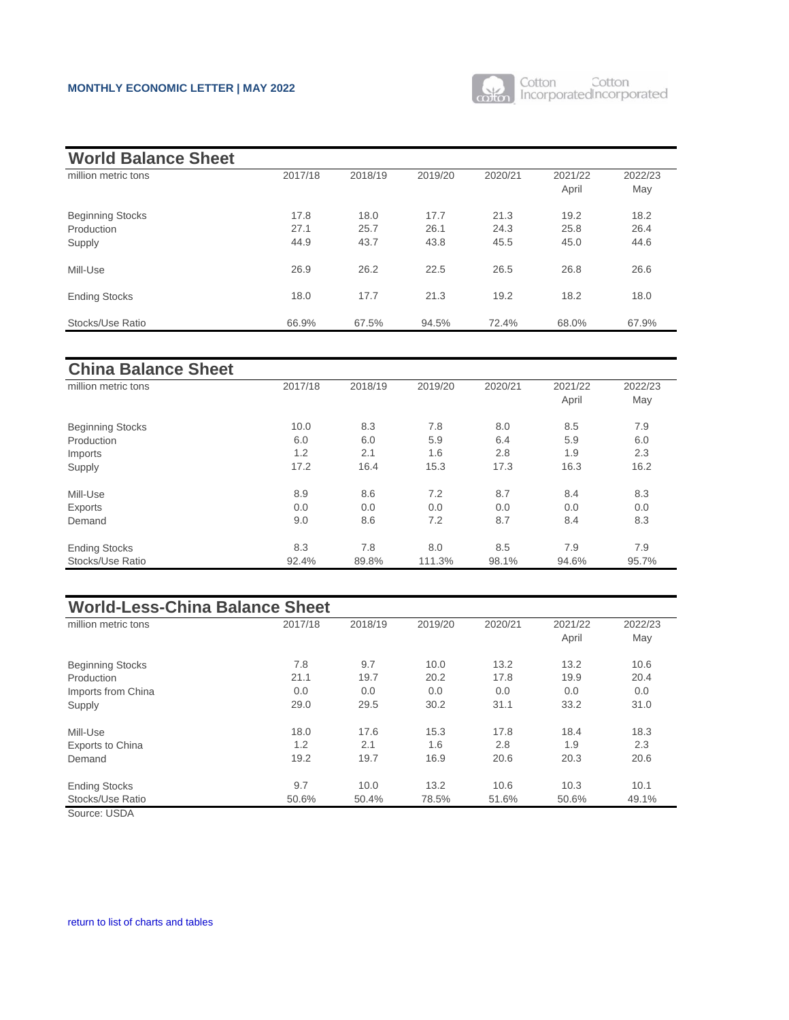

<span id="page-10-0"></span>

| <b>World Balance Sheet</b> |         |         |         |         |         |         |
|----------------------------|---------|---------|---------|---------|---------|---------|
| million metric tons        | 2017/18 | 2018/19 | 2019/20 | 2020/21 | 2021/22 | 2022/23 |
|                            |         |         |         |         | April   | May     |
| <b>Beginning Stocks</b>    | 17.8    | 18.0    | 17.7    | 21.3    | 19.2    | 18.2    |
| Production                 | 27.1    | 25.7    | 26.1    | 24.3    | 25.8    | 26.4    |
| Supply                     | 44.9    | 43.7    | 43.8    | 45.5    | 45.0    | 44.6    |
| Mill-Use                   | 26.9    | 26.2    | 22.5    | 26.5    | 26.8    | 26.6    |
| <b>Ending Stocks</b>       | 18.0    | 17.7    | 21.3    | 19.2    | 18.2    | 18.0    |
| Stocks/Use Ratio           | 66.9%   | 67.5%   | 94.5%   | 72.4%   | 68.0%   | 67.9%   |

| ------                  |         |         |         |         |         |         |
|-------------------------|---------|---------|---------|---------|---------|---------|
| million metric tons     | 2017/18 | 2018/19 | 2019/20 | 2020/21 | 2021/22 | 2022/23 |
|                         |         |         |         |         | April   | May     |
| <b>Beginning Stocks</b> | 10.0    | 8.3     | 7.8     | 8.0     | 8.5     | 7.9     |
| Production              | 6.0     | 6.0     | 5.9     | 6.4     | 5.9     | 6.0     |
| Imports                 | 1.2     | 2.1     | 1.6     | 2.8     | 1.9     | 2.3     |
| Supply                  | 17.2    | 16.4    | 15.3    | 17.3    | 16.3    | 16.2    |
| Mill-Use                | 8.9     | 8.6     | 7.2     | 8.7     | 8.4     | 8.3     |
| Exports                 | 0.0     | 0.0     | 0.0     | 0.0     | 0.0     | 0.0     |
| Demand                  | 9.0     | 8.6     | 7.2     | 8.7     | 8.4     | 8.3     |
| <b>Ending Stocks</b>    | 8.3     | 7.8     | 8.0     | 8.5     | 7.9     | 7.9     |
| Stocks/Use Ratio        | 92.4%   | 89.8%   | 111.3%  | 98.1%   | 94.6%   | 95.7%   |

| <b>World-Less-China Balance Sheet</b> |         |         |         |         |         |         |  |  |
|---------------------------------------|---------|---------|---------|---------|---------|---------|--|--|
| million metric tons                   | 2017/18 | 2018/19 | 2019/20 | 2020/21 | 2021/22 | 2022/23 |  |  |
|                                       |         |         |         |         | April   | May     |  |  |
| <b>Beginning Stocks</b>               | 7.8     | 9.7     | 10.0    | 13.2    | 13.2    | 10.6    |  |  |
| Production                            | 21.1    | 19.7    | 20.2    | 17.8    | 19.9    | 20.4    |  |  |
| Imports from China                    | 0.0     | 0.0     | 0.0     | 0.0     | 0.0     | 0.0     |  |  |
| Supply                                | 29.0    | 29.5    | 30.2    | 31.1    | 33.2    | 31.0    |  |  |
| Mill-Use                              | 18.0    | 17.6    | 15.3    | 17.8    | 18.4    | 18.3    |  |  |
| <b>Exports to China</b>               | 1.2     | 2.1     | 1.6     | 2.8     | 1.9     | 2.3     |  |  |
| Demand                                | 19.2    | 19.7    | 16.9    | 20.6    | 20.3    | 20.6    |  |  |
| <b>Ending Stocks</b>                  | 9.7     | 10.0    | 13.2    | 10.6    | 10.3    | 10.1    |  |  |
| Stocks/Use Ratio                      | 50.6%   | 50.4%   | 78.5%   | 51.6%   | 50.6%   | 49.1%   |  |  |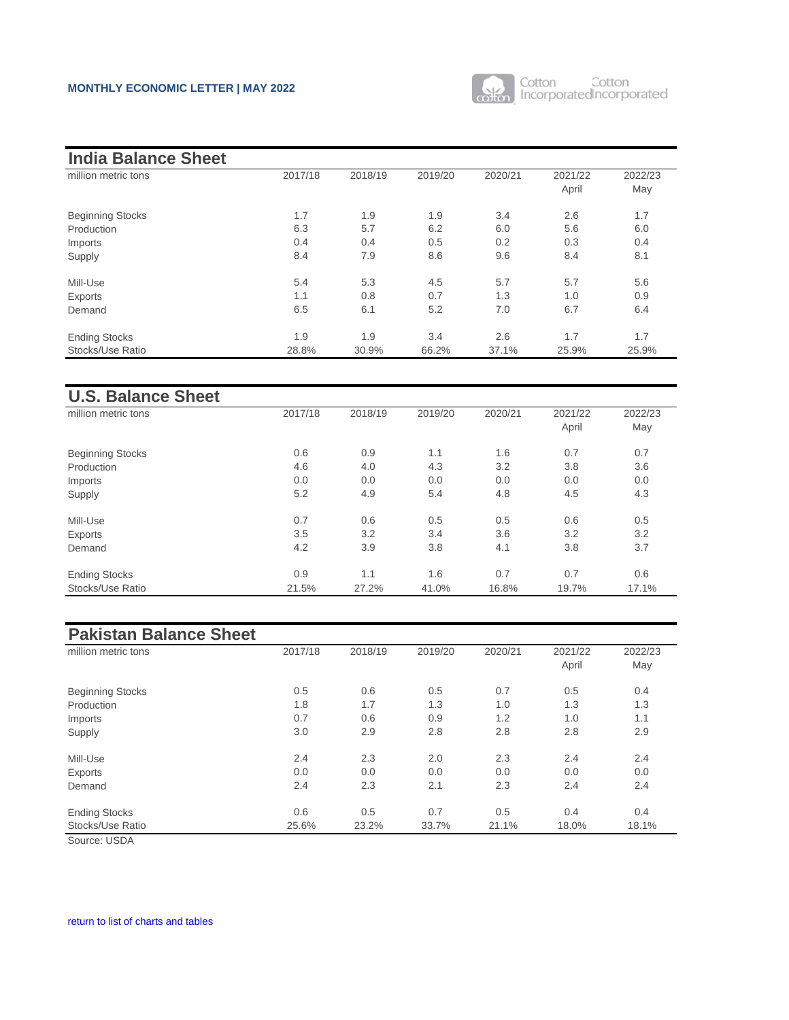

| <b>India Balance Sheet</b> |         |         |         |         |         |         |
|----------------------------|---------|---------|---------|---------|---------|---------|
| million metric tons        | 2017/18 | 2018/19 | 2019/20 | 2020/21 | 2021/22 | 2022/23 |
|                            |         |         |         |         | April   | May     |
| <b>Beginning Stocks</b>    | 1.7     | 1.9     | 1.9     | 3.4     | 2.6     | 1.7     |
| Production                 | 6.3     | 5.7     | 6.2     | 6.0     | 5.6     | 6.0     |
| Imports                    | 0.4     | 0.4     | 0.5     | 0.2     | 0.3     | 0.4     |
| Supply                     | 8.4     | 7.9     | 8.6     | 9.6     | 8.4     | 8.1     |
| Mill-Use                   | 5.4     | 5.3     | 4.5     | 5.7     | 5.7     | 5.6     |
| Exports                    | 1.1     | 0.8     | 0.7     | 1.3     | 1.0     | 0.9     |
| Demand                     | 6.5     | 6.1     | 5.2     | 7.0     | 6.7     | 6.4     |
| <b>Ending Stocks</b>       | 1.9     | 1.9     | 3.4     | 2.6     | 1.7     | 1.7     |
| Stocks/Use Ratio           | 28.8%   | 30.9%   | 66.2%   | 37.1%   | 25.9%   | 25.9%   |

| <b>U.S. Balance Sheet</b> |         |         |         |         |         |         |
|---------------------------|---------|---------|---------|---------|---------|---------|
| million metric tons       | 2017/18 | 2018/19 | 2019/20 | 2020/21 | 2021/22 | 2022/23 |
|                           |         |         |         |         | April   | May     |
| <b>Beginning Stocks</b>   | 0.6     | 0.9     | 1.1     | 1.6     | 0.7     | 0.7     |
| Production                | 4.6     | 4.0     | 4.3     | 3.2     | 3.8     | 3.6     |
| Imports                   | 0.0     | 0.0     | 0.0     | 0.0     | 0.0     | 0.0     |
| Supply                    | 5.2     | 4.9     | 5.4     | 4.8     | 4.5     | 4.3     |
| Mill-Use                  | 0.7     | 0.6     | 0.5     | 0.5     | 0.6     | 0.5     |
| Exports                   | 3.5     | 3.2     | 3.4     | 3.6     | 3.2     | 3.2     |
| Demand                    | 4.2     | 3.9     | 3.8     | 4.1     | 3.8     | 3.7     |
| <b>Ending Stocks</b>      | 0.9     | 1.1     | 1.6     | 0.7     | 0.7     | 0.6     |
| Stocks/Use Ratio          | 21.5%   | 27.2%   | 41.0%   | 16.8%   | 19.7%   | 17.1%   |

| <b>Pakistan Balance Sheet</b> |         |         |         |         |         |         |
|-------------------------------|---------|---------|---------|---------|---------|---------|
| million metric tons           | 2017/18 | 2018/19 | 2019/20 | 2020/21 | 2021/22 | 2022/23 |
|                               |         |         |         |         | April   | May     |
| <b>Beginning Stocks</b>       | 0.5     | 0.6     | 0.5     | 0.7     | 0.5     | 0.4     |
| Production                    | 1.8     | 1.7     | 1.3     | 1.0     | 1.3     | 1.3     |
| Imports                       | 0.7     | 0.6     | 0.9     | 1.2     | 1.0     | 1.1     |
| Supply                        | 3.0     | 2.9     | 2.8     | 2.8     | 2.8     | 2.9     |
| Mill-Use                      | 2.4     | 2.3     | 2.0     | 2.3     | 2.4     | 2.4     |
| Exports                       | 0.0     | 0.0     | 0.0     | 0.0     | 0.0     | 0.0     |
| Demand                        | 2.4     | 2.3     | 2.1     | 2.3     | 2.4     | 2.4     |
| <b>Ending Stocks</b>          | 0.6     | 0.5     | 0.7     | 0.5     | 0.4     | 0.4     |
| Stocks/Use Ratio              | 25.6%   | 23.2%   | 33.7%   | 21.1%   | 18.0%   | 18.1%   |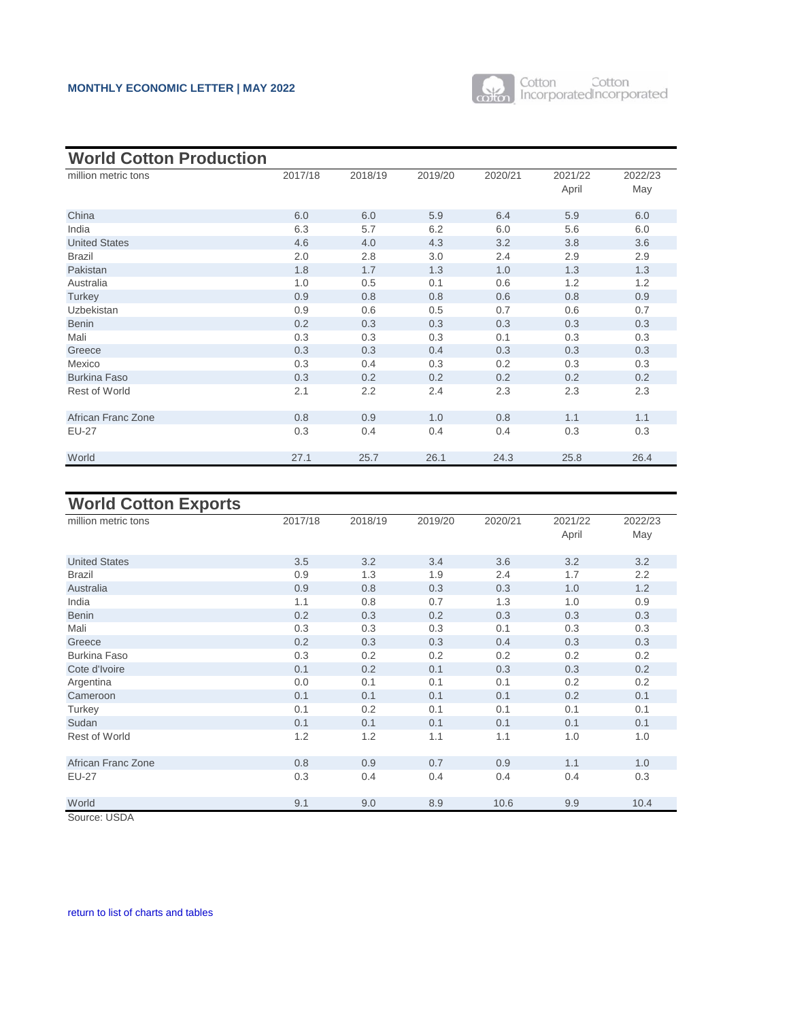

<span id="page-12-0"></span>

| <b>World Cotton Production</b> |         |         |         |         |                  |                |
|--------------------------------|---------|---------|---------|---------|------------------|----------------|
| million metric tons            | 2017/18 | 2018/19 | 2019/20 | 2020/21 | 2021/22<br>April | 2022/23<br>May |
| China                          | 6.0     | 6.0     | 5.9     | 6.4     | 5.9              | 6.0            |
| India                          | 6.3     | 5.7     | 6.2     | 6.0     | 5.6              | 6.0            |
| <b>United States</b>           | 4.6     | 4.0     | 4.3     | 3.2     | 3.8              | 3.6            |
| <b>Brazil</b>                  | 2.0     | 2.8     | 3.0     | 2.4     | 2.9              | 2.9            |
| Pakistan                       | 1.8     | 1.7     | 1.3     | 1.0     | 1.3              | 1.3            |
| Australia                      | 1.0     | 0.5     | 0.1     | 0.6     | 1.2              | 1.2            |
| Turkey                         | 0.9     | 0.8     | 0.8     | 0.6     | 0.8              | 0.9            |
| Uzbekistan                     | 0.9     | 0.6     | 0.5     | 0.7     | 0.6              | 0.7            |
| <b>Benin</b>                   | 0.2     | 0.3     | 0.3     | 0.3     | 0.3              | 0.3            |
| Mali                           | 0.3     | 0.3     | 0.3     | 0.1     | 0.3              | 0.3            |
| Greece                         | 0.3     | 0.3     | 0.4     | 0.3     | 0.3              | 0.3            |
| Mexico                         | 0.3     | 0.4     | 0.3     | 0.2     | 0.3              | 0.3            |
| <b>Burkina Faso</b>            | 0.3     | 0.2     | 0.2     | 0.2     | 0.2              | 0.2            |
| <b>Rest of World</b>           | 2.1     | 2.2     | 2.4     | 2.3     | 2.3              | 2.3            |
| African Franc Zone             | 0.8     | 0.9     | 1.0     | 0.8     | 1.1              | 1.1            |
| <b>EU-27</b>                   | 0.3     | 0.4     | 0.4     | 0.4     | 0.3              | 0.3            |
| World                          | 27.1    | 25.7    | 26.1    | 24.3    | 25.8             | 26.4           |

# **World Cotton Exports**

| $\sim$               |         |         |         |         |                  |                |
|----------------------|---------|---------|---------|---------|------------------|----------------|
| million metric tons  | 2017/18 | 2018/19 | 2019/20 | 2020/21 | 2021/22<br>April | 2022/23<br>May |
| <b>United States</b> | 3.5     | 3.2     | 3.4     | 3.6     | 3.2              | 3.2            |
| <b>Brazil</b>        | 0.9     | 1.3     | 1.9     | 2.4     | 1.7              | 2.2            |
| Australia            | 0.9     | 0.8     | 0.3     | 0.3     | 1.0              | 1.2            |
| India                | 1.1     | 0.8     | 0.7     | 1.3     | 1.0              | 0.9            |
| <b>Benin</b>         | 0.2     | 0.3     | 0.2     | 0.3     | 0.3              | 0.3            |
| Mali                 | 0.3     | 0.3     | 0.3     | 0.1     | 0.3              | 0.3            |
| Greece               | 0.2     | 0.3     | 0.3     | 0.4     | 0.3              | 0.3            |
| <b>Burkina Faso</b>  | 0.3     | 0.2     | 0.2     | 0.2     | 0.2              | 0.2            |
| Cote d'Ivoire        | 0.1     | 0.2     | 0.1     | 0.3     | 0.3              | 0.2            |
| Argentina            | 0.0     | 0.1     | 0.1     | 0.1     | 0.2              | 0.2            |
| Cameroon             | 0.1     | 0.1     | 0.1     | 0.1     | 0.2              | 0.1            |
| Turkey               | 0.1     | 0.2     | 0.1     | 0.1     | 0.1              | 0.1            |
| Sudan                | 0.1     | 0.1     | 0.1     | 0.1     | 0.1              | 0.1            |
| <b>Rest of World</b> | 1.2     | 1.2     | 1.1     | 1.1     | 1.0              | 1.0            |
| African Franc Zone   | 0.8     | 0.9     | 0.7     | 0.9     | 1.1              | 1.0            |
| <b>EU-27</b>         | 0.3     | 0.4     | 0.4     | 0.4     | 0.4              | 0.3            |
| World                | 9.1     | 9.0     | 8.9     | 10.6    | 9.9              | 10.4           |